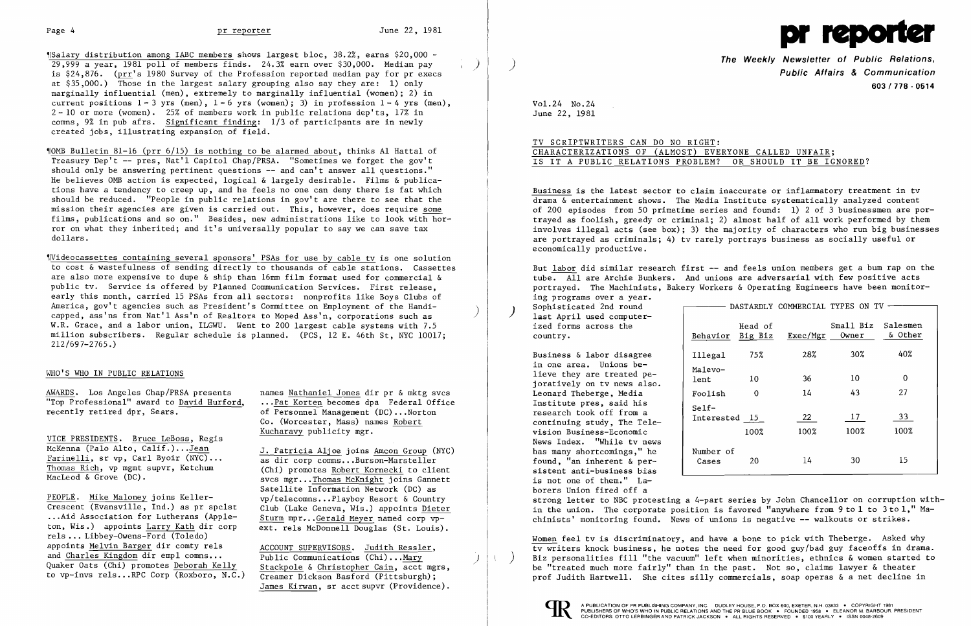$\{\text{Salary distribution among IABC members shows largest block, } 38.2\%$ , earns \$20,000 - $29.999$  a year, 1981 poll of members finds. 24.3% earn over \$30,000. Median pay is  $$24,876.$  (prr's 1980 Survey of the Profession reported median pay for pr execs at \$35,000.) Those in the largest salary grouping also say they are: 1) only marginally influential (men), extremely to marginally influential (women); 2) in current positions  $1 - 3$  yrs (men),  $1 - 6$  yrs (women); 3) in profession  $1 - 4$  yrs (men),  $2 - 10$  or more (women). 25% of members work in public relations dep'ts, 17% in comns, 9% in pub afrs. Significant finding: 1/3 of participants are in newly created jobs, illustrating expansion of field.

~IOMB Bulletin 81-16 (prr 6/15) is nothing to be alarmed about, thinks Al Hattal of Treasury Dep't -- pres, Nat'l Capitol Chap/PRSA. "Sometimes we forget the gov't should only be answering pertinent questions -- and can't answer all questions." He believes OMB action is expected, logical & largely desirable. Films & publications have a tendency to creep up, and he feels no one can deny there is fat which should be reduced. "People in public relations in gov't are there to see that the mission their agencies are given is carried out. This, however, does require some films, publications and so on." Besides, new administrations like to look with horror on what they inherited; and it's universally popular to say we can save tax dollars.

> of Personnel Management (DC) ... Norton Co. (Worcester, Mass) names Robert

Thomas Rich, vp mgmt supvr, Ketchum (Chi) promotes <u>Robert Kornecki</u> to client<br>MacLeod & Grove (DC). Sucs mer. Thomas McKnight ioins Cannett svcs mgr...Thomas McKnight joins Gannett Satellite Information Network (DC) as ext. rels McDonnell Douglas (St. Louis).

James Kirwan, sr acct supvr (Providence).

~IVideocassettes containing several sponsors' PSAs for use by cable tv is one solution to cost & wastefulness of sending directly to thousands of cable stations. Cassettes are also more expensive to dupe & ship than 16mm film format used for commercial & public tv. Service is offered by Planned Communication Services. First release, early this month, carried 15 PSAs from all sectors: nonprofits like Boys Clubs of America, gov't agencies such as President's Committee on Employment of the Handi-<br>capped, ass'ns from Nat'l Ass'n of Realtors to Moped Ass'n, corporations such as W.R. Grace, and a labor union, ILGWU. Went to 200 largest cable systems with 7.5 million subscribers. Regular schedule is planned. (PCS, 12 E. 46th St, NYC 10017; 212/697-2765.)

The Weekly Newsletter of Public Relations,<br>Public Affairs & Communication 603/778 - 0514

### WHO'S WHO IN PUBLIC RELATIONS

AWARDS. Los Angeles Chap/PRSA presents names Nathaniel Jones dir pr & mktg svcs "Top Professional" award to David Hurford, ...Pat Korten becomes dpa Federal Office<br>recently retired dpr, Sears.  $\begin{array}{ccc} 0 & \text{of } P \text{ersonnel } \text{Management } (DC) \dots \text{North} \end{array}$ 

VICE PRESIDENTS. Bruce LeBoss, Regis Kucharavy publicity mgr. McKenna (Palo Alto, Calif.)...Jean<br>
Farinelli, sr vp, Carl Byoir (NYC)...<br>
Thomas Rich, vp mgmt supvr, Ketchum (Chi) promotes Robert Kornecki to client

 $\frac{\text{PEOPLE}}{\text{Crescent}}$ . Mike Maloney joins Keller-<br>Crescent (Evansville, Ind.) as pr spclst (lub (Lake Geneva, Wis.) appoints Dieter Crescent (Evansville, Ind.) as pr spclst Club (Lake Geneva, Wis.) appoints <u>Dieter</u><br>...Aid Association for Lutherans (Apple-<br>ton, Wis.) appoints Larry Kath dir corp ext. rels McDonnell Douglas (St. Louis) rels ... Libbey-Owens-Ford (Toledo) appoints Melvin Barger dir comty rels<br>and Charles Kingdom dir empl comns...<br>Public Communications (Chi)...Mary Quaker Oats (Chi) promotes Deborah Kelly Stackpole & Christopher Cain, acct mgrs, to vp-invs rels...RPC Corp (Roxboro, N.C.) Creamer Dickson Basford (Pittsburgh);

Sophisticated 2nd round  $\qquad \qquad \qquad$  DASTARDLY COMMERCIAL TYPES ON TV -) Sophisticated 2nd round<br>last April used computerized forms across the

Business & labor disagree  $\vert$  Illegal Leonard Theberge, Media continuing study, The Television Business-Economic News Index. "While tv news has many shortcomings," he  $\vert$  Number found, "an inherent & per sistent anti-business bias is not one of them." Laborers Union fired off a



Vol. 24 No. 24 June 22, 1981

## TV SCRIPTWRITERS CAN DO NO RIGHT: CHARACTERIZATIONS OF (ALMOST) EVERYONE CALLED UNFAIR; IS IT A PUBLIC RELATIONS PROBLEM? OR SHOULD IT BE IGNORED?

Business is the latest sector to claim inaccurate or inflammatory treatment in tv drama & entertainment shows. The Media Institute systematically analyzed content of 200 episodes from 50 primetime series and found: 1) 2 of 3 businessmen are portrayed as foolish, greedy or criminal; 2) almost half of all work performed by them involves illegal acts (see box); 3) the majority of characters who run big businesses are portrayed as criminals; 4) tv rarely portrays business as socially useful or economically productive.

But labor did similar research first -- and feels union members get a bum rap on the tube. All are Archie Bunkers. And unions are adversarial with few positive acts portrayed. The Machinists, Bakery Workers & Operating Engineers have been monitoring programs over a year.

| last April used computer-<br>ized forms across the<br>country.                       | Behavior                 | Head of<br>Big Biz | Exec/Mgr        | Small Biz<br>Owner | Salesmen<br>& Other |  |
|--------------------------------------------------------------------------------------|--------------------------|--------------------|-----------------|--------------------|---------------------|--|
| Business & labor disagree                                                            | Illegal                  | 75%                | 28%             | 30%                | 40%                 |  |
| in one area. Unions be-<br>lieve they are treated pe-<br>joratively on tv news also. | Malevo-<br>lent          | 10                 | 36              | 10                 | 0                   |  |
| Leonard Theberge, Media                                                              | Foolish                  | $\Omega$           | 14              | 43                 | 27                  |  |
| Institute pres, said his<br>research took off from a<br>continuing study, The Tele-  | $Setf-$<br>Interested 15 |                    | 22              | 17 <sub>2</sub>    | 33                  |  |
| vision Business-Economic                                                             |                          | 100%               | 100%            | 100%               | 100%                |  |
| News Index. "While tv news<br>has many shortcomings," he                             | Number of                |                    |                 |                    |                     |  |
| found, "an inherent & per-<br>sistent anti-business bias                             | Cases                    | 20                 | 14 <sub>1</sub> | 30                 | 15                  |  |

strong letter to NBC protesting a 4-part series by John Chancellor on corruption within the union. The corporate position is favored "anywhere from 9 to 1 to 3 to 1," Machinists' monitoring found. News of unions is negative -- walkouts or strikes.

Women feel tv is discriminatory, and have a bone to pick with Theberge. Asked why tv writers knock business, he notes the need for good guy/bad guy faceoffs in drama. Biz personalities fill "the vacuum" left when minorities, ethnics  $\&$  women started to be "treated much more fairly" than in the past. Not so, claims lawyer & theater prof Judith Hartwell. She cites silly commercials, soap operas & a net decline in